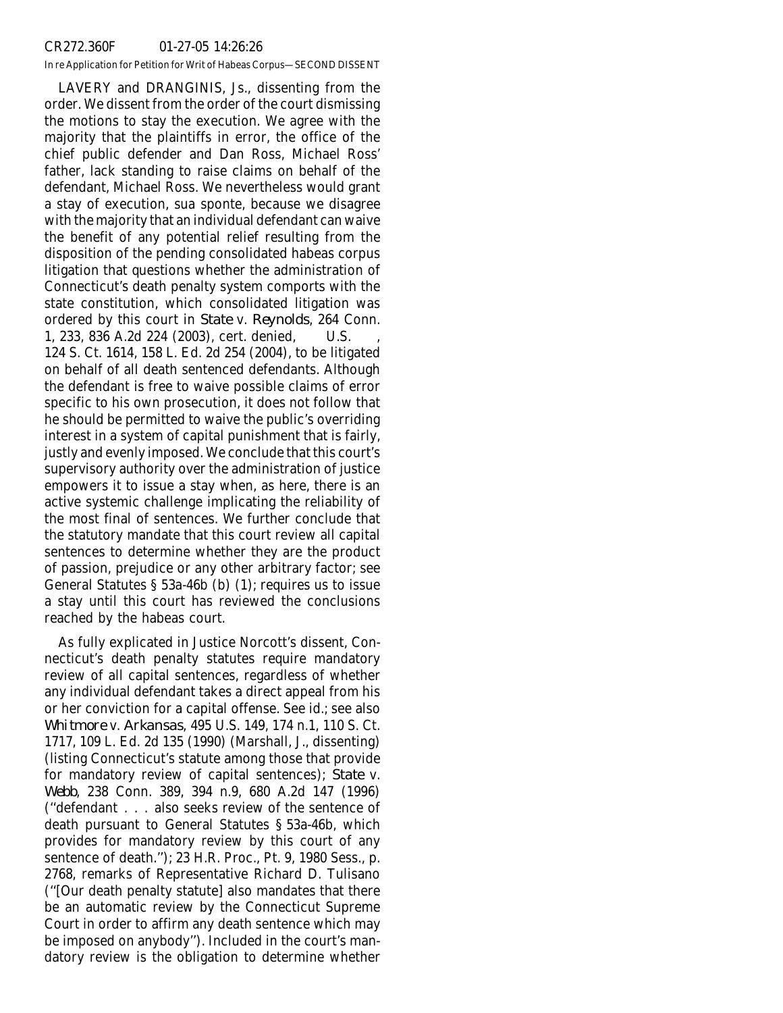## CR272.360F 01-27-05 14:26:26

In re Application for Petition for Writ of Habeas Corpus—SECOND DISSENT

LAVERY and DRANGINIS, Js., dissenting from the order. We dissent from the order of the court dismissing the motions to stay the execution. We agree with the majority that the plaintiffs in error, the office of the chief public defender and Dan Ross, Michael Ross' father, lack standing to raise claims on behalf of the defendant, Michael Ross. We nevertheless would grant a stay of execution, sua sponte, because we disagree with the majority that an individual defendant can waive the benefit of any potential relief resulting from the disposition of the pending consolidated habeas corpus litigation that questions whether the administration of Connecticut's death penalty system comports with the state constitution, which consolidated litigation was ordered by this court in *State* v. *Reynolds*, 264 Conn. 1, 233, 836 A.2d 224 (2003), cert. denied, U.S. , 124 S. Ct. 1614, 158 L. Ed. 2d 254 (2004), to be litigated on behalf of all death sentenced defendants. Although the defendant is free to waive possible claims of error specific to his own prosecution, it does not follow that he should be permitted to waive the public's overriding interest in a system of capital punishment that is fairly, justly and evenly imposed. We conclude that this court's supervisory authority over the administration of justice empowers it to issue a stay when, as here, there is an active systemic challenge implicating the reliability of the most final of sentences. We further conclude that the statutory mandate that this court review all capital sentences to determine whether they are the product of passion, prejudice or any other arbitrary factor; see General Statutes § 53a-46b (b) (1); requires us to issue a stay until this court has reviewed the conclusions reached by the habeas court.

As fully explicated in Justice Norcott's dissent, Connecticut's death penalty statutes require mandatory review of all capital sentences, regardless of whether any individual defendant takes a direct appeal from his or her conviction for a capital offense. See id.; see also *Whitmore* v. *Arkansas*, 495 U.S. 149, 174 n.1, 110 S. Ct. 1717, 109 L. Ed. 2d 135 (1990) (Marshall, J., dissenting) (listing Connecticut's statute among those that provide for mandatory review of capital sentences); *State* v. *Webb*, 238 Conn. 389, 394 n.9, 680 A.2d 147 (1996) (''defendant... also seeks review of the sentence of death pursuant to General Statutes § 53a-46b, which provides for mandatory review by this court of any sentence of death.''); 23 H.R. Proc., Pt. 9, 1980 Sess., p. 2768, remarks of Representative Richard D. Tulisano (''[Our death penalty statute] also mandates that there be an automatic review by the Connecticut Supreme Court in order to affirm any death sentence which may be imposed on anybody''). Included in the court's mandatory review is the obligation to determine whether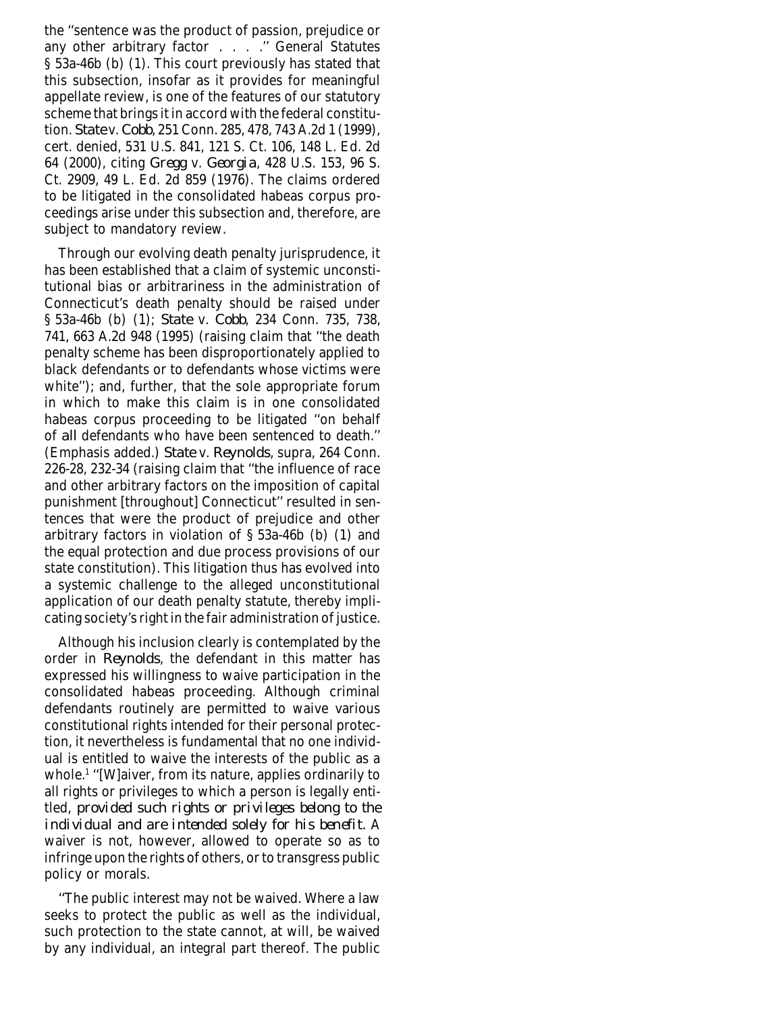the ''sentence was the product of passion, prejudice or any other arbitrary factor . . . . " General Statutes § 53a-46b (b) (1). This court previously has stated that this subsection, insofar as it provides for meaningful appellate review, is one of the features of our statutory scheme that brings it in accord with the federal constitution. *State* v. *Cobb*, 251 Conn. 285, 478, 743 A.2d 1 (1999), cert. denied, 531 U.S. 841, 121 S. Ct. 106, 148 L. Ed. 2d 64 (2000), citing *Gregg* v. *Georgia*, 428 U.S. 153, 96 S. Ct. 2909, 49 L. Ed. 2d 859 (1976). The claims ordered to be litigated in the consolidated habeas corpus proceedings arise under this subsection and, therefore, are subject to mandatory review.

Through our evolving death penalty jurisprudence, it has been established that a claim of systemic unconstitutional bias or arbitrariness in the administration of Connecticut's death penalty should be raised under § 53a-46b (b) (1); *State* v. *Cobb*, 234 Conn. 735, 738, 741, 663 A.2d 948 (1995) (raising claim that ''the death penalty scheme has been disproportionately applied to black defendants or to defendants whose victims were white''); and, further, that the sole appropriate forum in which to make this claim is in one consolidated habeas corpus proceeding to be litigated ''on behalf of *all* defendants who have been sentenced to death.'' (Emphasis added.) *State* v. *Reynolds*, supra, 264 Conn. 226-28, 232-34 (raising claim that ''the influence of race and other arbitrary factors on the imposition of capital punishment [throughout] Connecticut'' resulted in sentences that were the product of prejudice and other arbitrary factors in violation of § 53a-46b (b) (1) and the equal protection and due process provisions of our state constitution). This litigation thus has evolved into a systemic challenge to the alleged unconstitutional application of our death penalty statute, thereby implicating society's right in the fair administration of justice.

Although his inclusion clearly is contemplated by the order in *Reynolds*, the defendant in this matter has expressed his willingness to waive participation in the consolidated habeas proceeding. Although criminal defendants routinely are permitted to waive various constitutional rights intended for their personal protection, it nevertheless is fundamental that no one individual is entitled to waive the interests of the public as a whole.1 ''[W]aiver, from its nature, applies ordinarily to all rights or privileges to which a person is legally entitled, *provided such rights or privileges belong to the individual and are intended solely for his benefit.* A waiver is not, however, allowed to operate so as to infringe upon the rights of others, or to transgress public policy or morals.

''The public interest may not be waived. Where a law seeks to protect the public as well as the individual, such protection to the state cannot, at will, be waived by any individual, an integral part thereof. The public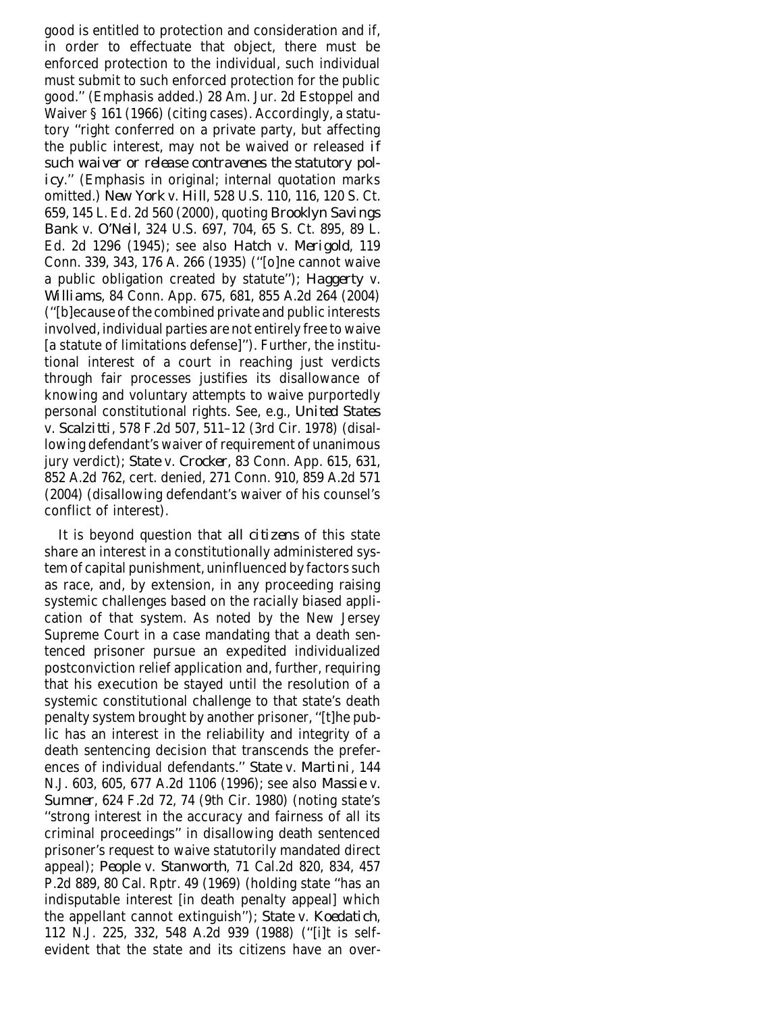good is entitled to protection and consideration and if, in order to effectuate that object, there must be enforced protection to the individual, such individual must submit to such enforced protection for the public good.'' (Emphasis added.) 28 Am. Jur. 2d Estoppel and Waiver § 161 (1966) (citing cases). Accordingly, a statutory ''right conferred on a private party, but affecting the public interest, may not be waived or released *if such waiver or release contravenes the statutory policy*.'' (Emphasis in original; internal quotation marks omitted.) *New York* v. *Hill*, 528 U.S. 110, 116, 120 S. Ct. 659, 145 L. Ed. 2d 560 (2000), quoting *Brooklyn Savings Bank* v. *O'Neil*, 324 U.S. 697, 704, 65 S. Ct. 895, 89 L. Ed. 2d 1296 (1945); see also *Hatch* v. *Merigold*, 119 Conn. 339, 343, 176 A. 266 (1935) (''[o]ne cannot waive a public obligation created by statute''); *Haggerty* v. *Williams*, 84 Conn. App. 675, 681, 855 A.2d 264 (2004) (''[b]ecause of the combined private and public interests involved, individual parties are not entirely free to waive [a statute of limitations defense]''). Further, the institutional interest of a court in reaching just verdicts through fair processes justifies its disallowance of knowing and voluntary attempts to waive purportedly personal constitutional rights. See, e.g., *United States* v. *Scalzitti*, 578 F.2d 507, 511–12 (3rd Cir. 1978) (disallowing defendant's waiver of requirement of unanimous jury verdict); *State* v. *Crocker*, 83 Conn. App. 615, 631, 852 A.2d 762, cert. denied, 271 Conn. 910, 859 A.2d 571 (2004) (disallowing defendant's waiver of his counsel's conflict of interest).

It is beyond question that *all citizens* of this state share an interest in a constitutionally administered system of capital punishment, uninfluenced by factors such as race, and, by extension, in any proceeding raising systemic challenges based on the racially biased application of that system. As noted by the New Jersey Supreme Court in a case mandating that a death sentenced prisoner pursue an expedited individualized postconviction relief application and, further, requiring that his execution be stayed until the resolution of a systemic constitutional challenge to that state's death penalty system brought by another prisoner, ''[t]he public has an interest in the reliability and integrity of a death sentencing decision that transcends the preferences of individual defendants.'' *State* v. *Martini*, 144 N.J. 603, 605, 677 A.2d 1106 (1996); see also *Massie* v. *Sumner*, 624 F.2d 72, 74 (9th Cir. 1980) (noting state's ''strong interest in the accuracy and fairness of all its criminal proceedings'' in disallowing death sentenced prisoner's request to waive statutorily mandated direct appeal); *People* v. *Stanworth*, 71 Cal.2d 820, 834, 457 P.2d 889, 80 Cal. Rptr. 49 (1969) (holding state ''has an indisputable interest [in death penalty appeal] which the appellant cannot extinguish''); *State* v. *Koedatich*, 112 N.J. 225, 332, 548 A.2d 939 (1988) (''[i]t is selfevident that the state and its citizens have an over